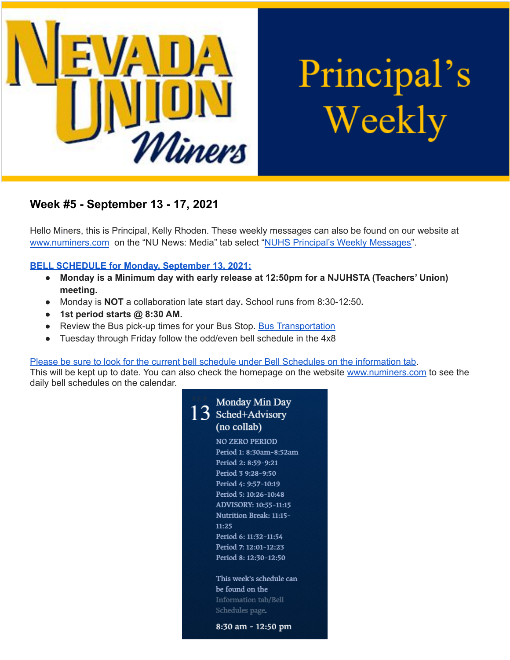

Principal's Weekly

# **Week #5 - September 13 - 17, 2021**

Hello Miners, this is Principal, Kelly Rhoden. These weekly messages can also be found on our website at [www.numiners.com](http://www.numiners.com) on the "NU News: Media" tab select "NUHS Principal's Weekly [Messages"](https://nevadaunion.njuhsd.com/NU-NewsMedia/NUHS-Principals-Weekly-Messages/index.html).

## **BELL [SCHEDULE](https://nevadaunion.njuhsd.com/documents/Bell%20Schedules/21.22-MONDAY-MINIMUM-DAY-BELL-SCHEDULE.pdf) for Monday, September 13, 2021:**

- **● Monday is a Minimum day with early release at 12:50pm for a NJUHSTA (Teachers' Union) meeting.**
- **●** Monday is **NOT** a collaboration late start day**.** School runs from 8:30-12:50**.**
- **● 1st period starts @ 8:30 AM.**
- Review the Bus pick-up times for your Bus Stop. Bus [Transportation](https://www.njuhsd.com/Parents/Transportation/index.html)
- Tuesday through Friday follow the odd/even bell schedule in the 4x8

Please be sure to look for the current bell schedule under Bell Schedules on the [information](https://nevadaunion.njuhsd.com/Information/Bell-Schedules/index.html) tab.

This will be kept up to date. You can also check the homepage on the website [www.numiners.com](http://www.numiners.com) to see the daily bell schedules on the calendar.

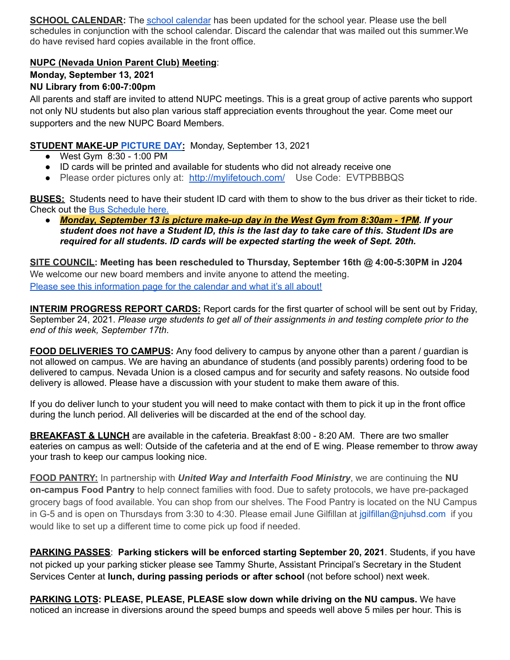**SCHOOL CALENDAR:** The school [calendar](https://nevadaunion.njuhsd.com/Information/Calendar-School-Year-2021-2022/index.html) has been updated for the school year. Please use the bell schedules in conjunction with the school calendar. Discard the calendar that was mailed out this summer.We do have revised hard copies available in the front office.

## **NUPC (Nevada Union Parent Club) Meeting**:

# **Monday, September 13, 2021**

## **NU Library from 6:00-7:00pm**

All parents and staff are invited to attend NUPC meetings. This is a great group of active parents who support not only NU students but also plan various staff appreciation events throughout the year. Come meet our supporters and the new NUPC Board Members.

# **STUDENT MAKE-UP [PICTURE](https://nevadaunion.njuhsd.com/Activities/Student-Pictures/index.html) DAY:** Monday, September 13, 2021

- West Gym 8:30 1:00 PM
- ID cards will be printed and available for students who did not already receive one
- Please order pictures only at: <http://mylifetouch.com/> Use Code: EVTPBBBQS

**BUSES:** Students need to have their student ID card with them to show to the bus driver as their ticket to ride. Check out the Bus [Schedule](https://www.njuhsd.com/documents/NUHS-2021-2022-MASTER-SCHEDULE-8-20-21.pdf) here.

*● Monday, September 13 is picture make-up day in the West Gym from 8:30am - 1PM. If your* student does not have a Student ID, this is the last day to take care of this. Student IDs are *required for all students. ID cards will be expected starting the week of Sept. 20th.*

**SITE COUNCIL: Meeting has been rescheduled to Thursday, September 16th @ 4:00-5:30PM in J204** We welcome our new board members and invite anyone to attend the meeting. Please see this [information](https://nevadaunion.njuhsd.com/Information/Site-Council/index.html) page for the calendar and what it's all about!

**INTERIM PROGRESS REPORT CARDS:** Report cards for the first quarter of school will be sent out by Friday, September 24, 2021. *Please urge students to get all of their assignments in and testing complete prior to the end of this week, September 17th*.

**FOOD DELIVERIES TO CAMPUS:** Any food delivery to campus by anyone other than a parent / guardian is not allowed on campus. We are having an abundance of students (and possibly parents) ordering food to be delivered to campus. Nevada Union is a closed campus and for security and safety reasons. No outside food delivery is allowed. Please have a discussion with your student to make them aware of this.

If you do deliver lunch to your student you will need to make contact with them to pick it up in the front office during the lunch period. All deliveries will be discarded at the end of the school day.

**BREAKFAST & LUNCH** are available in the cafeteria. Breakfast 8:00 - 8:20 AM. There are two smaller eateries on campus as well: Outside of the cafeteria and at the end of E wing. Please remember to throw away your trash to keep our campus looking nice.

**FOOD PANTRY:** In partnership with *United Way and Interfaith Food Ministry*, we are continuing the **NU on-campus Food Pantry** to help connect families with food. Due to safety protocols, we have pre-packaged grocery bags of food available. You can shop from our shelves. The Food Pantry is located on the NU Campus in G-5 and is open on Thursdays from 3:30 to 4:30. Please email June Gilfillan at jgilfillan@njuhsd.com if you would like to set up a different time to come pick up food if needed.

**PARKING PASSES**: **Parking stickers will be enforced starting September 20, 2021**. Students, if you have not picked up your parking sticker please see Tammy Shurte, Assistant Principal's Secretary in the Student Services Center at **lunch, during passing periods or after school** (not before school) next week.

**PARKING LOTS: PLEASE, PLEASE, PLEASE slow down while driving on the NU campus.** We have noticed an increase in diversions around the speed bumps and speeds well above 5 miles per hour. This is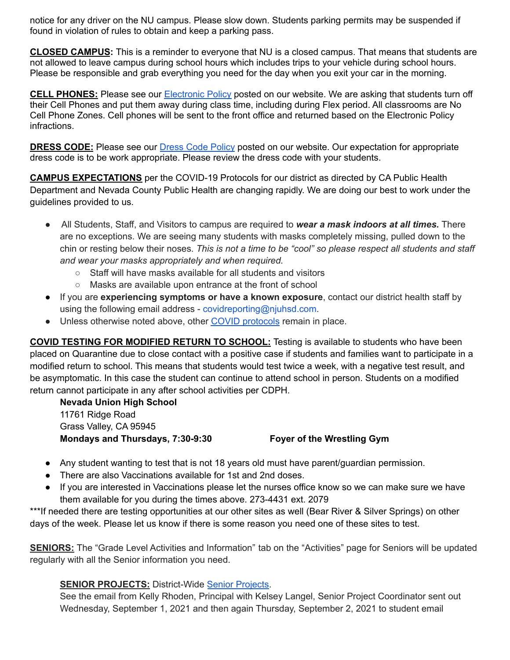notice for any driver on the NU campus. Please slow down. Students parking permits may be suspended if found in violation of rules to obtain and keep a parking pass.

**CLOSED CAMPUS:** This is a reminder to everyone that NU is a closed campus. That means that students are not allowed to leave campus during school hours which includes trips to your vehicle during school hours. Please be responsible and grab everything you need for the day when you exit your car in the morning.

**CELL PHONES:** Please see our [Electronic](https://nevadaunion.njuhsd.com/documents/Nevada%20Union%20HS/Information/Annual%20Forms/19.20%20Electronics%20Policy.pdf) Policy posted on our website. We are asking that students turn off their Cell Phones and put them away during class time, including during Flex period. All classrooms are No Cell Phone Zones. Cell phones will be sent to the front office and returned based on the Electronic Policy infractions.

**DRESS CODE:** Please see our Dress Code [Policy](https://nevadaunion.njuhsd.com/documents/Nevada%20Union%20HS/Information/Annual%20Forms/19.20.DRESS.CODE.FULL.pdf) posted on our website. Our expectation for appropriate dress code is to be work appropriate. Please review the dress code with your students.

**CAMPUS EXPECTATIONS** per the COVID-19 Protocols for our district as directed by CA Public Health Department and Nevada County Public Health are changing rapidly. We are doing our best to work under the guidelines provided to us.

- All Students, Staff, and Visitors to campus are required to *wear a mask indoors at all times.* There are no exceptions. We are seeing many students with masks completely missing, pulled down to the chin or resting below their noses. *This is not a time to be "cool" so please respect all students and staff and wear your masks appropriately and when required.*
	- Staff will have masks available for all students and visitors
	- Masks are available upon entrance at the front of school
- If you are **experiencing symptoms or have a known exposure**, contact our district health staff by using the following email address - covidreporting@njuhsd.com.
- Unless otherwise noted above, other COVID [protocols](https://www.njuhsd.com/Covid-19/index.html) remain in place.

**COVID TESTING FOR MODIFIED RETURN TO SCHOOL:** Testing is available to students who have been placed on Quarantine due to close contact with a positive case if students and families want to participate in a modified return to school. This means that students would test twice a week, with a negative test result, and be asymptomatic. In this case the student can continue to attend school in person. Students on a modified return cannot participate in any after school activities per CDPH.

**Nevada Union High School** 11761 Ridge Road Grass Valley, CA 95945 **Mondays and Thursdays, 7:30-9:30 Foyer of the Wrestling Gym**

- Any student wanting to test that is not 18 years old must have parent/guardian permission.
- There are also Vaccinations available for 1st and 2nd doses.
- If you are interested in Vaccinations please let the nurses office know so we can make sure we have them available for you during the times above. 273-4431 ext. 2079

\*\*\*If needed there are testing opportunities at our other sites as well (Bear River & Silver Springs) on other days of the week. Please let us know if there is some reason you need one of these sites to test.

**SENIORS:** The "Grade Level Activities and Information" tab on the "Activities" page for Seniors will be updated regularly with all the Senior information you need.

#### **SENIOR PROJECTS:** District-Wide Senior [Projects](https://nevadaunion.njuhsd.com/Information/Senior-Project/index.html).

See the email from Kelly Rhoden, Principal with Kelsey Langel, Senior Project Coordinator sent out Wednesday, September 1, 2021 and then again Thursday, September 2, 2021 to student email